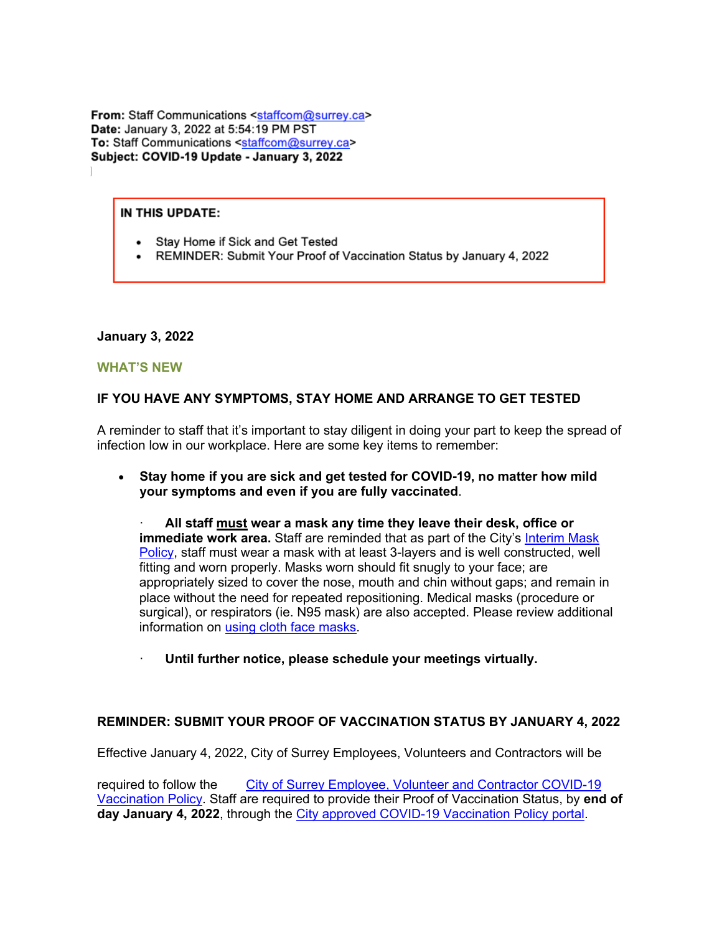From: Staff Communications <staffcom@surrey.ca> Date: January 3, 2022 at 5:54:19 PM PST To: Staff Communications <staffcom@surrey.ca> Subject: COVID-19 Update - January 3, 2022

#### IN THIS UPDATE:

- Stay Home if Sick and Get Tested
- REMINDER: Submit Your Proof of Vaccination Status by January 4, 2022

#### **January 3, 2022**

#### **WHAT'S NEW**

## **IF YOU HAVE ANY SYMPTOMS, STAY HOME AND ARRANGE TO GET TESTED**

A reminder to staff that it's important to stay diligent in doing your part to keep the spread of infection low in our workplace. Here are some key items to remember:

• **Stay home if you are sick and get tested for COVID-19, no matter how mild your symptoms and even if you are fully vaccinated**.

· **All staff must wear a mask any time they leave their desk, office or immediate work area.** Staff are reminded that as part of the City's Interim Mask Policy, staff must wear a mask with at least 3-layers and is well constructed, well fitting and worn properly. Masks worn should fit snugly to your face; are appropriately sized to cover the nose, mouth and chin without gaps; and remain in place without the need for repeated repositioning. Medical masks (procedure or surgical), or respirators (ie. N95 mask) are also accepted. Please review additional information on using cloth face masks.

· **Until further notice, please schedule your meetings virtually.**

### **REMINDER: SUBMIT YOUR PROOF OF VACCINATION STATUS BY JANUARY 4, 2022**

Effective January 4, 2022, City of Surrey Employees, Volunteers and Contractors will be

required to follow the City of Surrey Employee, Volunteer and Contractor COVID-19 Vaccination Policy. Staff are required to provide their Proof of Vaccination Status, by **end of day January 4, 2022**, through the City approved COVID-19 Vaccination Policy portal.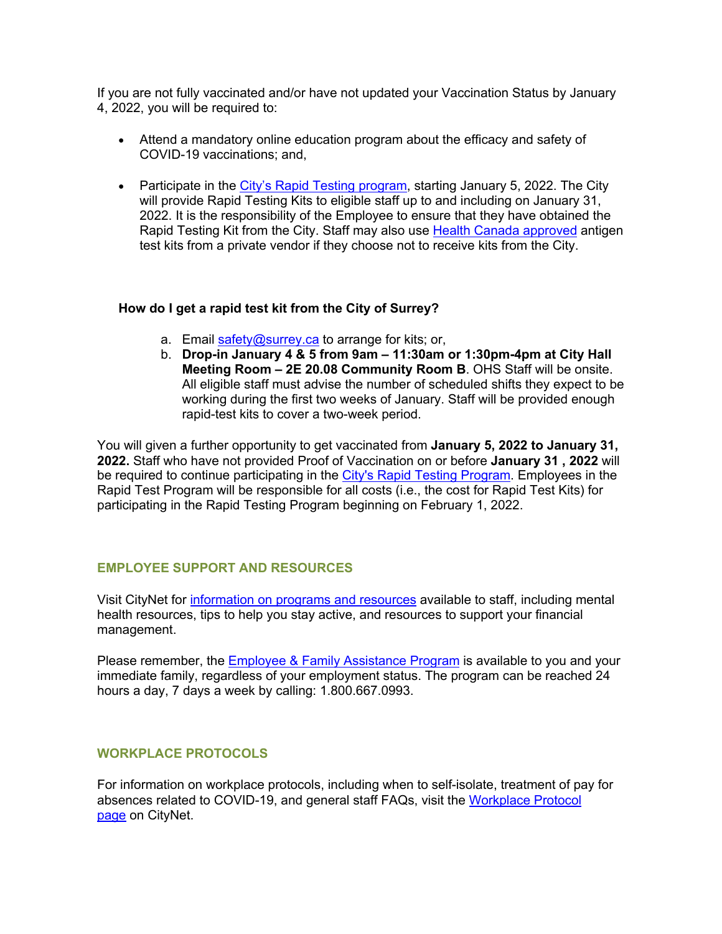If you are not fully vaccinated and/or have not updated your Vaccination Status by January 4, 2022, you will be required to:

- Attend a mandatory online education program about the efficacy and safety of COVID-19 vaccinations; and,
- Participate in the City's Rapid Testing program, starting January 5, 2022. The City will provide Rapid Testing Kits to eligible staff up to and including on January 31, 2022. It is the responsibility of the Employee to ensure that they have obtained the Rapid Testing Kit from the City. Staff may also use Health Canada approved antigen test kits from a private vendor if they choose not to receive kits from the City.

## **How do I get a rapid test kit from the City of Surrey?**

- a. Email safety@surrey.ca to arrange for kits; or,
- b. **Drop-in January 4 & 5 from 9am – 11:30am or 1:30pm-4pm at City Hall Meeting Room – 2E 20.08 Community Room B**. OHS Staff will be onsite. All eligible staff must advise the number of scheduled shifts they expect to be working during the first two weeks of January. Staff will be provided enough rapid-test kits to cover a two-week period.

You will given a further opportunity to get vaccinated from **January 5, 2022 to January 31, 2022.** Staff who have not provided Proof of Vaccination on or before **January 31 , 2022** will be required to continue participating in the City's Rapid Testing Program. Employees in the Rapid Test Program will be responsible for all costs (i.e., the cost for Rapid Test Kits) for participating in the Rapid Testing Program beginning on February 1, 2022.

# **EMPLOYEE SUPPORT AND RESOURCES**

Visit CityNet for information on programs and resources available to staff, including mental health resources, tips to help you stay active, and resources to support your financial management.

Please remember, the **Employee & Family Assistance Program** is available to you and your immediate family, regardless of your employment status. The program can be reached 24 hours a day, 7 days a week by calling: 1.800.667.0993.

## **WORKPLACE PROTOCOLS**

For information on workplace protocols, including when to self-isolate, treatment of pay for absences related to COVID-19, and general staff FAQs, visit the Workplace Protocol page on CityNet.